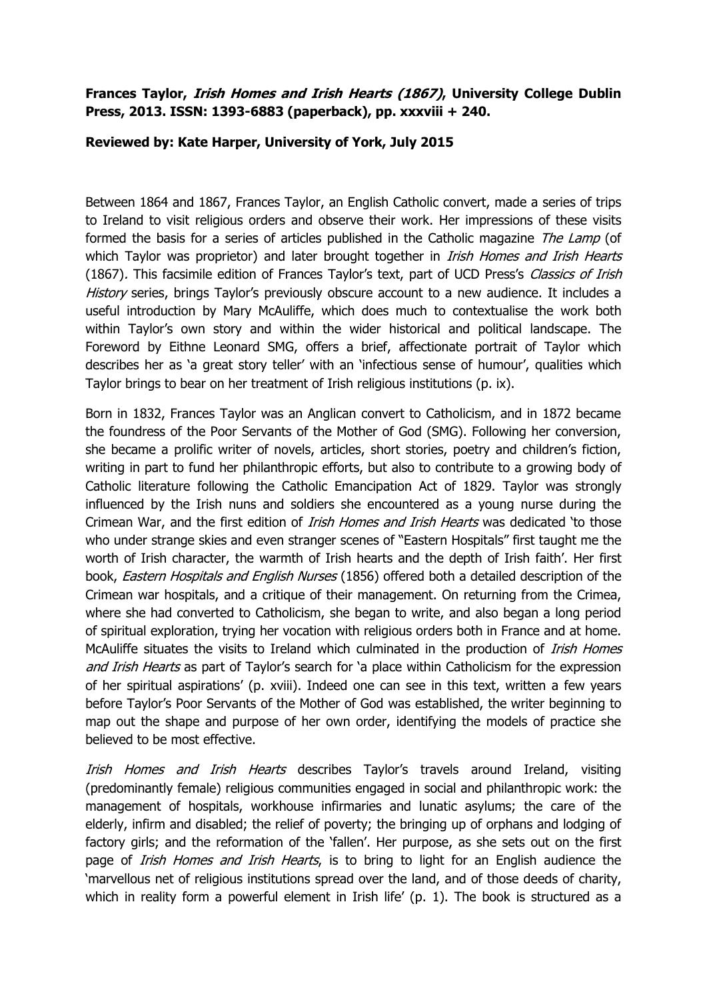## **Frances Taylor, Irish Homes and Irish Hearts (1867), University College Dublin Press, 2013. ISSN: 1393-6883 (paperback), pp. xxxviii + 240.**

## **Reviewed by: Kate Harper, University of York, July 2015**

Between 1864 and 1867, Frances Taylor, an English Catholic convert, made a series of trips to Ireland to visit religious orders and observe their work. Her impressions of these visits formed the basis for a series of articles published in the Catholic magazine The Lamp (of which Taylor was proprietor) and later brought together in *Irish Homes and Irish Hearts* (1867). This facsimile edition of Frances Taylor's text, part of UCD Press's *Classics of Irish* History series, brings Taylor's previously obscure account to a new audience. It includes a useful introduction by Mary McAuliffe, which does much to contextualise the work both within Taylor's own story and within the wider historical and political landscape. The Foreword by Eithne Leonard SMG, offers a brief, affectionate portrait of Taylor which describes her as 'a great story teller' with an 'infectious sense of humour', qualities which Taylor brings to bear on her treatment of Irish religious institutions (p. ix).

Born in 1832, Frances Taylor was an Anglican convert to Catholicism, and in 1872 became the foundress of the Poor Servants of the Mother of God (SMG). Following her conversion, she became a prolific writer of novels, articles, short stories, poetry and children's fiction, writing in part to fund her philanthropic efforts, but also to contribute to a growing body of Catholic literature following the Catholic Emancipation Act of 1829. Taylor was strongly influenced by the Irish nuns and soldiers she encountered as a young nurse during the Crimean War, and the first edition of *Irish Homes and Irish Hearts* was dedicated 'to those who under strange skies and even stranger scenes of "Eastern Hospitals" first taught me the worth of Irish character, the warmth of Irish hearts and the depth of Irish faith'. Her first book, Eastern Hospitals and English Nurses (1856) offered both a detailed description of the Crimean war hospitals, and a critique of their management. On returning from the Crimea, where she had converted to Catholicism, she began to write, and also began a long period of spiritual exploration, trying her vocation with religious orders both in France and at home. McAuliffe situates the visits to Ireland which culminated in the production of *Irish Homes* and Irish Hearts as part of Taylor's search for 'a place within Catholicism for the expression of her spiritual aspirations' (p. xviii). Indeed one can see in this text, written a few years before Taylor's Poor Servants of the Mother of God was established, the writer beginning to map out the shape and purpose of her own order, identifying the models of practice she believed to be most effective.

Irish Homes and Irish Hearts describes Taylor's travels around Ireland, visiting (predominantly female) religious communities engaged in social and philanthropic work: the management of hospitals, workhouse infirmaries and lunatic asylums; the care of the elderly, infirm and disabled; the relief of poverty; the bringing up of orphans and lodging of factory girls; and the reformation of the 'fallen'. Her purpose, as she sets out on the first page of *Irish Homes and Irish Hearts*, is to bring to light for an English audience the 'marvellous net of religious institutions spread over the land, and of those deeds of charity, which in reality form a powerful element in Irish life'  $(p, 1)$ . The book is structured as a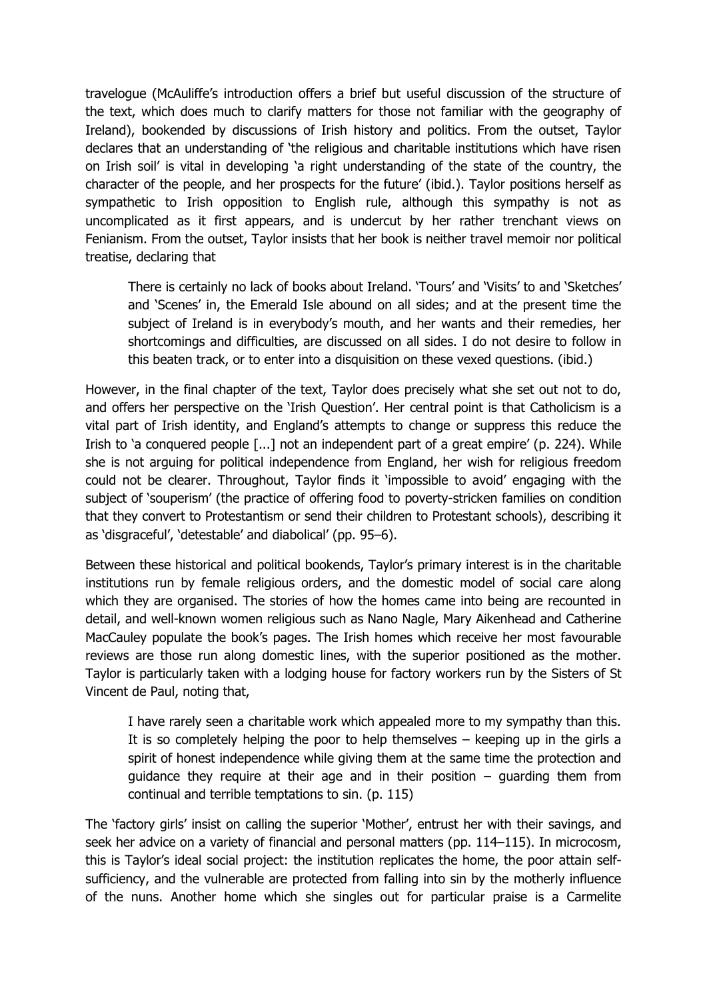travelogue (McAuliffe's introduction offers a brief but useful discussion of the structure of the text, which does much to clarify matters for those not familiar with the geography of Ireland), bookended by discussions of Irish history and politics. From the outset, Taylor declares that an understanding of 'the religious and charitable institutions which have risen on Irish soil' is vital in developing 'a right understanding of the state of the country, the character of the people, and her prospects for the future' (ibid.). Taylor positions herself as sympathetic to Irish opposition to English rule, although this sympathy is not as uncomplicated as it first appears, and is undercut by her rather trenchant views on Fenianism. From the outset, Taylor insists that her book is neither travel memoir nor political treatise, declaring that

There is certainly no lack of books about Ireland. 'Tours' and 'Visits' to and 'Sketches' and 'Scenes' in, the Emerald Isle abound on all sides; and at the present time the subject of Ireland is in everybody's mouth, and her wants and their remedies, her shortcomings and difficulties, are discussed on all sides. I do not desire to follow in this beaten track, or to enter into a disquisition on these vexed questions. (ibid.)

However, in the final chapter of the text, Taylor does precisely what she set out not to do, and offers her perspective on the 'Irish Question'. Her central point is that Catholicism is a vital part of Irish identity, and England's attempts to change or suppress this reduce the Irish to 'a conquered people [...] not an independent part of a great empire' (p. 224). While she is not arguing for political independence from England, her wish for religious freedom could not be clearer. Throughout, Taylor finds it 'impossible to avoid' engaging with the subject of 'souperism' (the practice of offering food to poverty-stricken families on condition that they convert to Protestantism or send their children to Protestant schools), describing it as 'disgraceful', 'detestable' and diabolical' (pp. 95–6).

Between these historical and political bookends, Taylor's primary interest is in the charitable institutions run by female religious orders, and the domestic model of social care along which they are organised. The stories of how the homes came into being are recounted in detail, and well-known women religious such as Nano Nagle, Mary Aikenhead and Catherine MacCauley populate the book's pages. The Irish homes which receive her most favourable reviews are those run along domestic lines, with the superior positioned as the mother. Taylor is particularly taken with a lodging house for factory workers run by the Sisters of St Vincent de Paul, noting that,

I have rarely seen a charitable work which appealed more to my sympathy than this. It is so completely helping the poor to help themselves – keeping up in the girls a spirit of honest independence while giving them at the same time the protection and quidance they require at their age and in their position  $-$  quarding them from continual and terrible temptations to sin. (p. 115)

The 'factory girls' insist on calling the superior 'Mother', entrust her with their savings, and seek her advice on a variety of financial and personal matters (pp. 114–115). In microcosm, this is Taylor's ideal social project: the institution replicates the home, the poor attain selfsufficiency, and the vulnerable are protected from falling into sin by the motherly influence of the nuns. Another home which she singles out for particular praise is a Carmelite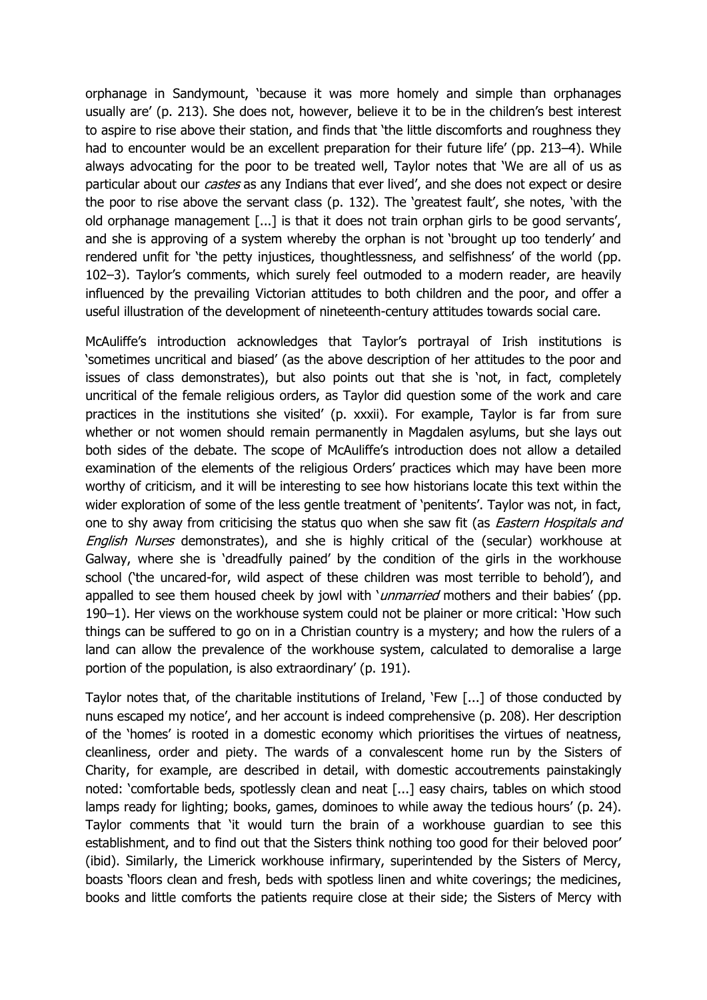orphanage in Sandymount, 'because it was more homely and simple than orphanages usually are' (p. 213). She does not, however, believe it to be in the children's best interest to aspire to rise above their station, and finds that 'the little discomforts and roughness they had to encounter would be an excellent preparation for their future life' (pp. 213-4). While always advocating for the poor to be treated well, Taylor notes that 'We are all of us as particular about our *castes* as any Indians that ever lived', and she does not expect or desire the poor to rise above the servant class (p. 132). The 'greatest fault', she notes, 'with the old orphanage management [...] is that it does not train orphan girls to be good servants', and she is approving of a system whereby the orphan is not 'brought up too tenderly' and rendered unfit for 'the petty injustices, thoughtlessness, and selfishness' of the world (pp. 102–3). Taylor's comments, which surely feel outmoded to a modern reader, are heavily influenced by the prevailing Victorian attitudes to both children and the poor, and offer a useful illustration of the development of nineteenth-century attitudes towards social care.

McAuliffe's introduction acknowledges that Taylor's portrayal of Irish institutions is 'sometimes uncritical and biased' (as the above description of her attitudes to the poor and issues of class demonstrates), but also points out that she is 'not, in fact, completely uncritical of the female religious orders, as Taylor did question some of the work and care practices in the institutions she visited' (p. xxxii). For example, Taylor is far from sure whether or not women should remain permanently in Magdalen asylums, but she lays out both sides of the debate. The scope of McAuliffe's introduction does not allow a detailed examination of the elements of the religious Orders' practices which may have been more worthy of criticism, and it will be interesting to see how historians locate this text within the wider exploration of some of the less gentle treatment of 'penitents'. Taylor was not, in fact, one to shy away from criticising the status quo when she saw fit (as *Eastern Hospitals and* English Nurses demonstrates), and she is highly critical of the (secular) workhouse at Galway, where she is 'dreadfully pained' by the condition of the girls in the workhouse school ('the uncared-for, wild aspect of these children was most terrible to behold'), and appalled to see them housed cheek by jowl with 'unmarried mothers and their babies' (pp. 190–1). Her views on the workhouse system could not be plainer or more critical: 'How such things can be suffered to go on in a Christian country is a mystery; and how the rulers of a land can allow the prevalence of the workhouse system, calculated to demoralise a large portion of the population, is also extraordinary' (p. 191).

Taylor notes that, of the charitable institutions of Ireland, 'Few [...] of those conducted by nuns escaped my notice', and her account is indeed comprehensive (p. 208). Her description of the 'homes' is rooted in a domestic economy which prioritises the virtues of neatness, cleanliness, order and piety. The wards of a convalescent home run by the Sisters of Charity, for example, are described in detail, with domestic accoutrements painstakingly noted: 'comfortable beds, spotlessly clean and neat [...] easy chairs, tables on which stood lamps ready for lighting; books, games, dominoes to while away the tedious hours' (p. 24). Taylor comments that 'it would turn the brain of a workhouse guardian to see this establishment, and to find out that the Sisters think nothing too good for their beloved poor' (ibid). Similarly, the Limerick workhouse infirmary, superintended by the Sisters of Mercy, boasts 'floors clean and fresh, beds with spotless linen and white coverings; the medicines, books and little comforts the patients require close at their side; the Sisters of Mercy with